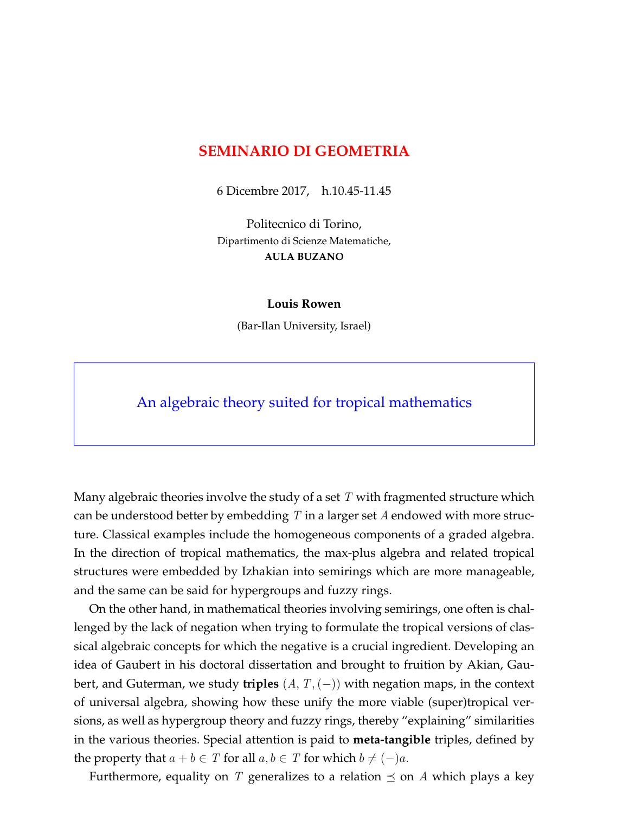## **SEMINARIO DI GEOMETRIA**

6 Dicembre 2017, h.10.45-11.45

Politecnico di Torino, Dipartimento di Scienze Matematiche, **AULA BUZANO**

## **Louis Rowen**

(Bar-Ilan University, Israel)

An algebraic theory suited for tropical mathematics

Many algebraic theories involve the study of a set  $T$  with fragmented structure which can be understood better by embedding  $T$  in a larger set  $A$  endowed with more structure. Classical examples include the homogeneous components of a graded algebra. In the direction of tropical mathematics, the max-plus algebra and related tropical structures were embedded by Izhakian into semirings which are more manageable, and the same can be said for hypergroups and fuzzy rings.

On the other hand, in mathematical theories involving semirings, one often is challenged by the lack of negation when trying to formulate the tropical versions of classical algebraic concepts for which the negative is a crucial ingredient. Developing an idea of Gaubert in his doctoral dissertation and brought to fruition by Akian, Gaubert, and Guterman, we study **triples** (A, T,(−)) with negation maps, in the context of universal algebra, showing how these unify the more viable (super)tropical versions, as well as hypergroup theory and fuzzy rings, thereby "explaining" similarities in the various theories. Special attention is paid to **meta-tangible** triples, defined by the property that  $a + b \in T$  for all  $a, b \in T$  for which  $b \neq (-)a$ .

Furthermore, equality on T generalizes to a relation  $\preceq$  on A which plays a key